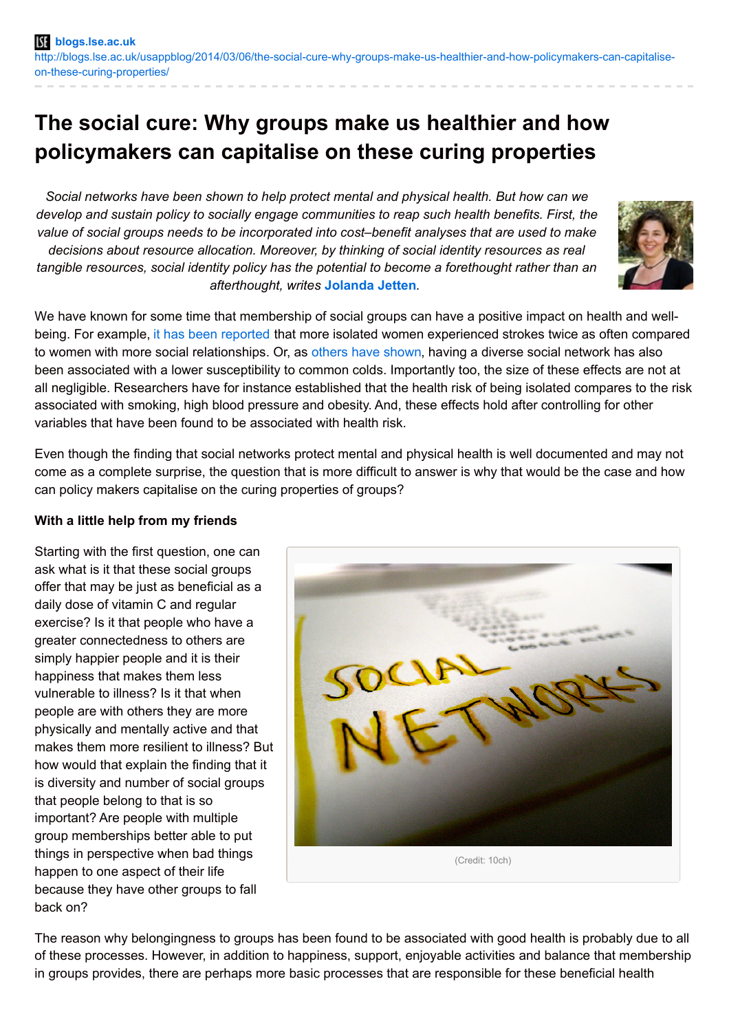# **The social cure: Why groups make us healthier and how policymakers can capitalise on these curing properties**

*Social networks have been shown to help protect mental and physical health. But how can we develop and sustain policy to socially engage communities to reap such health benefits. First, the value of social groups needs to be incorporated into cost–benefit analyses that are used to make decisions about resource allocation. Moreover, by thinking of social identity resources as real tangible resources, social identity policy has the potential to become a forethought rather than an afterthought, writes* **[Jolanda](http://wp.me/p3I2YF-1iB#Author) Jetten***.*



We have known for some time that membership of social groups can have a positive impact on health and wellbeing. For example, it has been [reported](http://www.psychosomaticmedicine.org/content/70/3/282.abstract) that more isolated women experienced strokes twice as often compared to women with more social relationships. Or, as others have [shown](http://psycnet.apa.org/journals/hea/17/3/214/), having a diverse social network has also been associated with a lower susceptibility to common colds. Importantly too, the size of these effects are not at all negligible. Researchers have for instance established that the health risk of being isolated compares to the risk associated with smoking, high blood pressure and obesity. And, these effects hold after controlling for other variables that have been found to be associated with health risk.

Even though the finding that social networks protect mental and physical health is well documented and may not come as a complete surprise, the question that is more difficult to answer is why that would be the case and how can policy makers capitalise on the curing properties of groups?

### **With a little help from my friends**

Starting with the first question, one can ask what is it that these social groups offer that may be just as beneficial as a daily dose of vitamin C and regular exercise? Is it that people who have a greater connectedness to others are simply happier people and it is their happiness that makes them less vulnerable to illness? Is it that when people are with others they are more physically and mentally active and that makes them more resilient to illness? But how would that explain the finding that it is diversity and number of social groups that people belong to that is so important? Are people with multiple group memberships better able to put things in perspective when bad things happen to one aspect of their life because they have other groups to fall back on?



(Credit: 10ch)

The reason why belongingness to groups has been found to be associated with good health is probably due to all of these processes. However, in addition to happiness, support, enjoyable activities and balance that membership in groups provides, there are perhaps more basic processes that are responsible for these beneficial health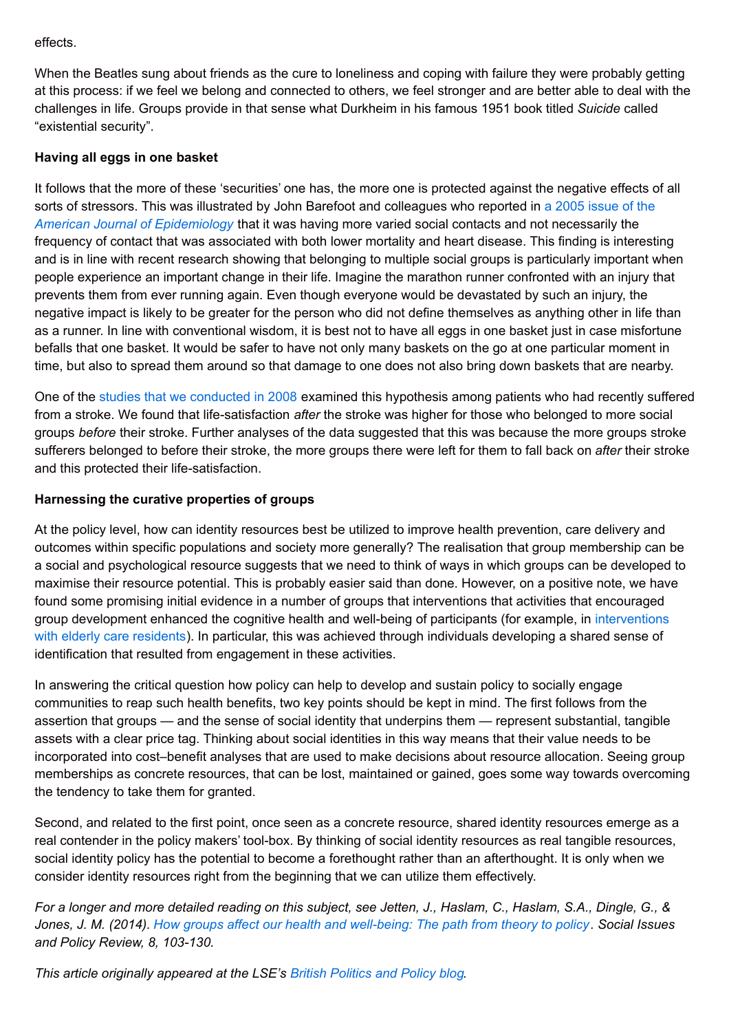### effects.

When the Beatles sung about friends as the cure to loneliness and coping with failure they were probably getting at this process: if we feel we belong and connected to others, we feel stronger and are better able to deal with the challenges in life. Groups provide in that sense what Durkheim in his famous 1951 book titled *Suicide* called "existential security".

# **Having all eggs in one basket**

It follows that the more of these 'securities' one has, the more one is protected against the negative effects of all sorts of stressors. This was illustrated by John Barefoot and colleagues who reported in a 2005 issue of the *American Journal of [Epidemiology](http://aje.oxfordjournals.org/content/161/10/960.full.pdf)* that it was having more varied social contacts and not necessarily the frequency of contact that was associated with both lower mortality and heart disease. This finding is interesting and is in line with recent research showing that belonging to multiple social groups is particularly important when people experience an important change in their life. Imagine the marathon runner confronted with an injury that prevents them from ever running again. Even though everyone would be devastated by such an injury, the negative impact is likely to be greater for the person who did not define themselves as anything other in life than as a runner. In line with conventional wisdom, it is best not to have all eggs in one basket just in case misfortune befalls that one basket. It would be safer to have not only many baskets on the go at one particular moment in time, but also to spread them around so that damage to one does not also bring down baskets that are nearby.

One of the studies that we [conducted](http://www.ncbi.nlm.nih.gov/pubmed/18924001) in 2008 examined this hypothesis among patients who had recently suffered from a stroke. We found that life-satisfaction *after* the stroke was higher for those who belonged to more social groups *before* their stroke. Further analyses of the data suggested that this was because the more groups stroke sufferers belonged to before their stroke, the more groups there were left for them to fall back on *after* their stroke and this protected their life-satisfaction.

# **Harnessing the curative properties of groups**

At the policy level, how can identity resources best be utilized to improve health prevention, care delivery and outcomes within specific populations and society more generally? The realisation that group membership can be a social and psychological resource suggests that we need to think of ways in which groups can be developed to maximise their resource potential. This is probably easier said than done. However, on a positive note, we have found some promising initial evidence in a number of groups that interventions that activities that encouraged group [development](http://eprints.lse.ac.uk/48803/) enhanced the cognitive health and well-being of participants (for example, in interventions with elderly care residents). In particular, this was achieved through individuals developing a shared sense of identification that resulted from engagement in these activities.

In answering the critical question how policy can help to develop and sustain policy to socially engage communities to reap such health benefits, two key points should be kept in mind. The first follows from the assertion that groups — and the sense of social identity that underpins them — represent substantial, tangible assets with a clear price tag. Thinking about social identities in this way means that their value needs to be incorporated into cost–benefit analyses that are used to make decisions about resource allocation. Seeing group memberships as concrete resources, that can be lost, maintained or gained, goes some way towards overcoming the tendency to take them for granted.

Second, and related to the first point, once seen as a concrete resource, shared identity resources emerge as a real contender in the policy makers' tool-box. By thinking of social identity resources as real tangible resources, social identity policy has the potential to become a forethought rather than an afterthought. It is only when we consider identity resources right from the beginning that we can utilize them effectively.

For a longer and more detailed reading on this subject, see Jetten, J., Haslam, C., Haslam, S.A., Dingle, G., & Jones, J. M. (2014). How groups affect our health and [well-being:](http://onlinelibrary.wiley.com/doi/10.1111/sipr.12003/abstract) The path from theory to policy. Social Issues *and Policy Review, 8, 103-130.*

*This article originally appeared at the LSE's British [Politics](http://blogs.lse.ac.uk/politicsandpolicy/?p=39912) and Policy blog.*